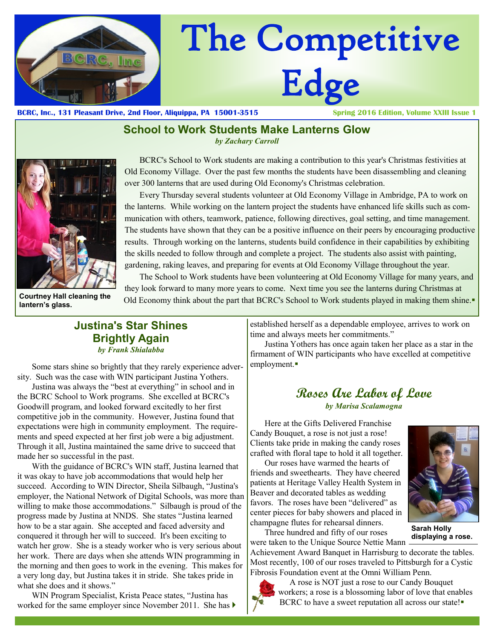

# The Competitive Edge

**BCRC, Inc., 131 Pleasant Drive, 2nd Floor, Aliquippa, PA 15001-3515 Spring 2016 Edition, Volume XXIII Issue 1**

### **School to Work Students Make Lanterns Glow**

*by Zachary Carroll*



**Courtney Hall cleaning the lantern's glass.**

 BCRC's School to Work students are making a contribution to this year's Christmas festivities at Old Economy Village. Over the past few months the students have been disassembling and cleaning over 300 lanterns that are used during Old Economy's Christmas celebration.

 Every Thursday several students volunteer at Old Economy Village in Ambridge, PA to work on the lanterns. While working on the lantern project the students have enhanced life skills such as communication with others, teamwork, patience, following directives, goal setting, and time management. The students have shown that they can be a positive influence on their peers by encouraging productive results. Through working on the lanterns, students build confidence in their capabilities by exhibiting the skills needed to follow through and complete a project. The students also assist with painting, gardening, raking leaves, and preparing for events at Old Economy Village throughout the year.

 The School to Work students have been volunteering at Old Economy Village for many years, and they look forward to many more years to come. Next time you see the lanterns during Christmas at Old Economy think about the part that BCRC's School to Work students played in making them shine.

## **Justina's Star Shines Brightly Again** *by Frank Shialabba*

Some stars shine so brightly that they rarely experience adversity. Such was the case with WIN participant Justina Yothers.

Justina was always the "best at everything" in school and in the BCRC School to Work programs. She excelled at BCRC's Goodwill program, and looked forward excitedly to her first competitive job in the community. However, Justina found that expectations were high in community employment. The requirements and speed expected at her first job were a big adjustment. Through it all, Justina maintained the same drive to succeed that made her so successful in the past.

With the guidance of BCRC's WIN staff, Justina learned that it was okay to have job accommodations that would help her succeed. According to WIN Director, Sheila Silbaugh, "Justina's employer, the National Network of Digital Schools, was more than willing to make those accommodations." Silbaugh is proud of the progress made by Justina at NNDS. She states "Justina learned how to be a star again. She accepted and faced adversity and conquered it through her will to succeed. It's been exciting to watch her grow. She is a steady worker who is very serious about her work. There are days when she attends WIN programming in the morning and then goes to work in the evening. This makes for a very long day, but Justina takes it in stride. She takes pride in what she does and it shows."

WIN Program Specialist, Krista Peace states, "Justina has worked for the same employer since November 2011. She has  $\blacktriangleright$  established herself as a dependable employee, arrives to work on time and always meets her commitments."

Justina Yothers has once again taken her place as a star in the firmament of WIN participants who have excelled at competitive employment.

# **Roses Are Labor of Love** *by Marisa Scalamogna*

Here at the Gifts Delivered Franchise Candy Bouquet, a rose is not just a rose! Clients take pride in making the candy roses crafted with floral tape to hold it all together.

Our roses have warmed the hearts of friends and sweethearts. They have cheered patients at Heritage Valley Health System in Beaver and decorated tables as wedding favors. The roses have been "delivered" as center pieces for baby showers and placed in champagne flutes for rehearsal dinners.



**Sarah Holly displaying a rose.**

Three hundred and fifty of our roses were taken to the Unique Source Nettie Mann

Achievement Award Banquet in Harrisburg to decorate the tables. Most recently, 100 of our roses traveled to Pittsburgh for a Cystic Fibrosis Foundation event at the Omni William Penn.



 A rose is NOT just a rose to our Candy Bouquet workers; a rose is a blossoming labor of love that enables BCRC to have a sweet reputation all across our state!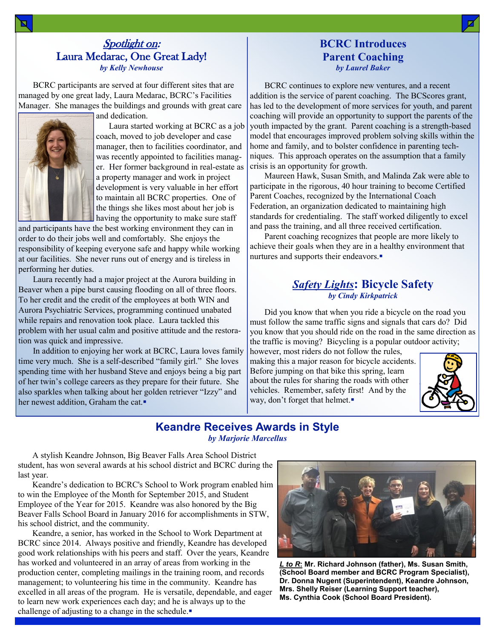#### Spotlight on: Laura Medarac, One Great Lady! *by Kelly Newhouse*

BCRC participants are served at four different sites that are managed by one great lady, Laura Medarac, BCRC's Facilities Manager. She manages the buildings and grounds with great care and dedication.



 Laura started working at BCRC as a job coach, moved to job developer and case manager, then to facilities coordinator, and was recently appointed to facilities manager. Her former background in real-estate as a property manager and work in project development is very valuable in her effort to maintain all BCRC properties. One of the things she likes most about her job is having the opportunity to make sure staff

and participants have the best working environment they can in order to do their jobs well and comfortably. She enjoys the responsibility of keeping everyone safe and happy while working at our facilities. She never runs out of energy and is tireless in performing her duties.

Laura recently had a major project at the Aurora building in Beaver when a pipe burst causing flooding on all of three floors. To her credit and the credit of the employees at both WIN and Aurora Psychiatric Services, programming continued unabated while repairs and renovation took place. Laura tackled this problem with her usual calm and positive attitude and the restoration was quick and impressive.

In addition to enjoying her work at BCRC, Laura loves family time very much. She is a self-described "family girl." She loves spending time with her husband Steve and enjoys being a big part of her twin's college careers as they prepare for their future. She also sparkles when talking about her golden retriever "Izzy" and her newest addition, Graham the cat.

#### **BCRC Introduces Parent Coaching** *by Laurel Baker*

BCRC continues to explore new ventures, and a recent addition is the service of parent coaching. The BCScores grant, has led to the development of more services for youth, and parent coaching will provide an opportunity to support the parents of the youth impacted by the grant. Parent coaching is a strength-based model that encourages improved problem solving skills within the home and family, and to bolster confidence in parenting techniques. This approach operates on the assumption that a family crisis is an opportunity for growth.

Maureen Hawk, Susan Smith, and Malinda Zak were able to participate in the rigorous, 40 hour training to become Certified Parent Coaches, recognized by the International Coach Federation, an organization dedicated to maintaining high standards for credentialing. The staff worked diligently to excel and pass the training, and all three received certification.

Parent coaching recognizes that people are more likely to achieve their goals when they are in a healthy environment that nurtures and supports their endeavors.

#### *Safety Lights***: Bicycle Safety** *by Cindy Kirkpatrick*

Did you know that when you ride a bicycle on the road you must follow the same traffic signs and signals that cars do? Did you know that you should ride on the road in the same direction as the traffic is moving? Bicycling is a popular outdoor activity;

however, most riders do not follow the rules, making this a major reason for bicycle accidents. Before jumping on that bike this spring, learn about the rules for sharing the roads with other vehicles. Remember, safety first! And by the way, don't forget that helmet.



#### **Keandre Receives Awards in Style** *by Marjorie Marcellus*

A stylish Keandre Johnson, Big Beaver Falls Area School District student, has won several awards at his school district and BCRC during the last year.

Keandre's dedication to BCRC's School to Work program enabled him to win the Employee of the Month for September 2015, and Student Employee of the Year for 2015. Keandre was also honored by the Big Beaver Falls School Board in January 2016 for accomplishments in STW, his school district, and the community.

Keandre, a senior, has worked in the School to Work Department at BCRC since 2014. Always positive and friendly, Keandre has developed good work relationships with his peers and staff. Over the years, Keandre has worked and volunteered in an array of areas from working in the production center, completing mailings in the training room, and records management; to volunteering his time in the community. Keandre has excelled in all areas of the program. He is versatile, dependable, and eager to learn new work experiences each day; and he is always up to the challenge of adjusting to a change in the schedule.



*L to R***: Mr. Richard Johnson (father), Ms. Susan Smith, (School Board member and BCRC Program Specialist), Dr. Donna Nugent (Superintendent), Keandre Johnson, Mrs. Shelly Reiser (Learning Support teacher), Ms. Cynthia Cook (School Board President).**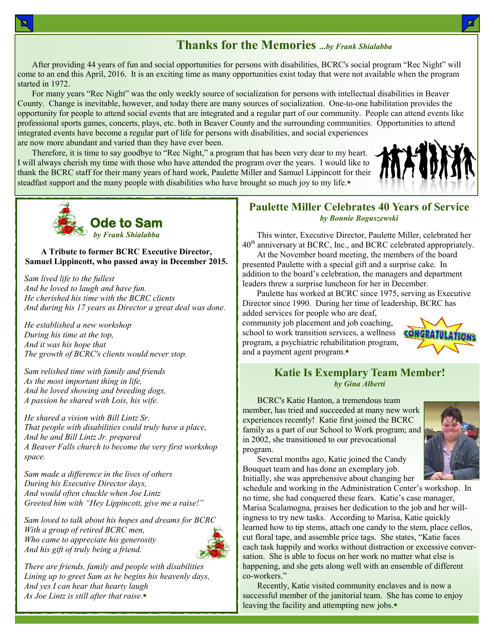## **Thanks for the Memories** *...by Frank Shialabba*

After providing 44 years of fun and social opportunities for persons with disabilities, BCRC's social program "Rec Night" will come to an end this April, 2016. It is an exciting time as many opportunities exist today that were not available when the program started in 1972.

For many years "Rec Night" was the only weekly source of socialization for persons with intellectual disabilities in Beaver County. Change is inevitable, however, and today there are many sources of socialization. One-to-one habilitation provides the opportunity for people to attend social events that are integrated and a regular part of our community. People can attend events like professional sports games, concerts, plays, etc. both in Beaver County and the surrounding communities. Opportunities to attend integrated events have become a regular part of life for persons with disabilities, and social experiences are now more abundant and varied than they have ever been.

Therefore, it is time to say goodbye to "Rec Night," a program that has been very dear to my heart. I will always cherish my time with those who have attended the program over the years. I would like to thank the BCRC staff for their many years of hard work, Paulette Miller and Samuel Lippincott for their steadfast support and the many people with disabilities who have brought so much joy to my life.





#### **A Tribute to former BCRC Executive Director, Samuel Lippincott, who passed away in December 2015.**

*Sam lived life to the fullest And he loved to laugh and have fun. He cherished his time with the BCRC clients And during his 17 years as Director a great deal was done.*

*He established a new workshop During his time at the top, And it was his hope that The growth of BCRC's clients would never stop.*

*Sam relished time with family and friends As the most important thing in life, And he loved showing and breeding dogs, A passion he shared with Lois, his wife.*

*He shared a vision with Bill Lintz Sr. That people with disabilities could truly have a place, And he and Bill Lintz Jr. prepared A Beaver Falls church to become the very first workshop space.*

*Sam made a difference in the lives of others During his Executive Director days, And would often chuckle when Joe Lintz Greeted him with "Hey Lippincott, give me a raise!"*

*Sam loved to talk about his hopes and dreams for BCRC With a group of retired BCRC men, Who came to appreciate his generosity And his gift of truly being a friend.*



*There are friends, family and people with disabilities Lining up to greet Sam as he begins his heavenly days, And yes I can hear that hearty laugh As Joe Lintz is still after that raise.*

#### **Paulette Miller Celebrates 40 Years of Service** *by Bonnie Boguszewski*

This winter, Executive Director, Paulette Miller, celebrated her 40<sup>th</sup> anniversary at BCRC, Inc., and BCRC celebrated appropriately.

At the November board meeting, the members of the board presented Paulette with a special gift and a surprise cake. In addition to the board's celebration, the managers and department leaders threw a surprise luncheon for her in December.

Paulette has worked at BCRC since 1975, serving as Executive Director since 1990. During her time of leadership, BCRC has

added services for people who are deaf, community job placement and job coaching, school to work transition services, a wellness program, a psychiatric rehabilitation program, and a payment agent program.



#### **Katie Is Exemplary Team Member!** *by Gina Alberti*

BCRC's Katie Hanton, a tremendous team member, has tried and succeeded at many new work experiences recently! Katie first joined the BCRC family as a part of our School to Work program; and in 2002, she transitioned to our prevocational program.

Several months ago, Katie joined the Candy Bouquet team and has done an exemplary job. Initially, she was apprehensive about changing her



schedule and working in the Administration Center's workshop. In no time, she had conquered these fears. Katie's case manager, Marisa Scalamogna, praises her dedication to the job and her willingness to try new tasks. According to Marisa, Katie quickly learned how to tip stems, attach one candy to the stem, place cellos, cut floral tape, and assemble price tags. She states, "Katie faces each task happily and works without distraction or excessive conversation. She is able to focus on her work no matter what else is happening, and she gets along well with an ensemble of different co-workers."

Recently, Katie visited community enclaves and is now a successful member of the janitorial team. She has come to enjoy leaving the facility and attempting new jobs.